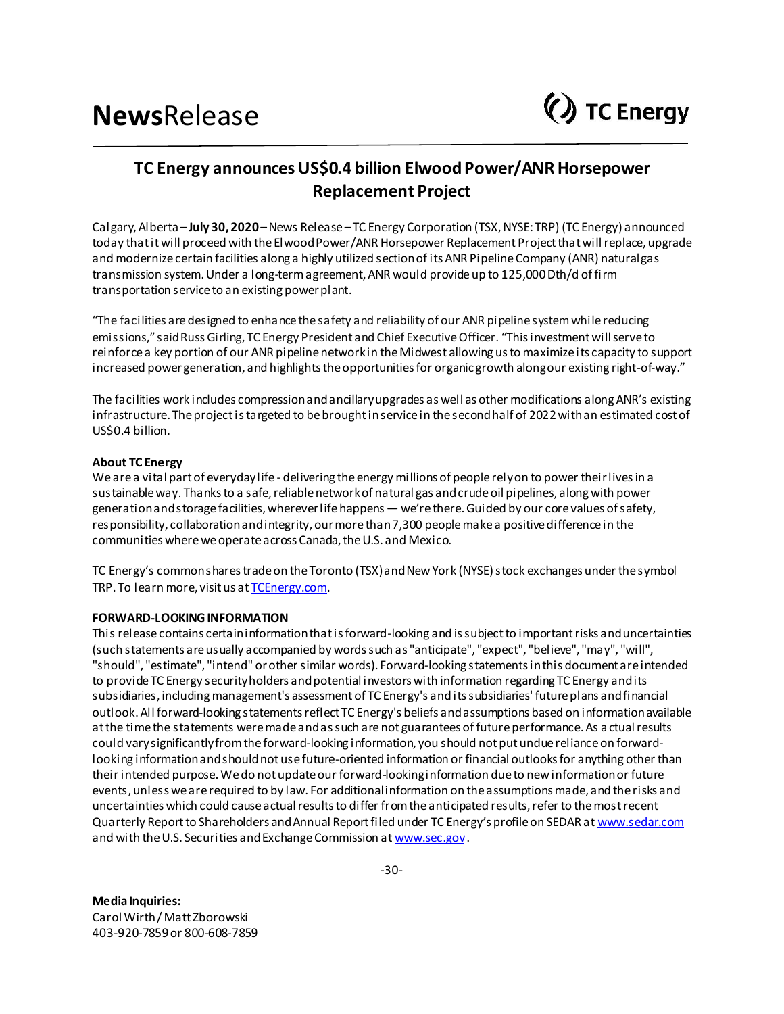## **TC Energy announces US\$0.4 billion Elwood Power/ANR Horsepower Replacement Project**

Calgary, Alberta –**July 30, 2020**–News Release –TC Energy Corporation (TSX, NYSE: TRP) (TC Energy) announced today that itwill proceed with the Elwood Power/ANR Horsepower Replacement Project that will replace, upgrade and modernize certain facilities along a highly utilized section of its ANR Pipeline Company (ANR) natural gas transmission system.Under a long-term agreement, ANR would provide up to 125,000 Dth/d of firm transportation service to an existing power plant.

"The facilities are designed to enhance the safety and reliability of our ANR pipelinesystemwhile reducing emissions," said Russ Girling, TC Energy President and Chief Executive Officer. "This investmentwill serve to reinforce a key portion of our ANR pipeline network in the Midwest allowing us to maximize its capacity to support increased power generation, and highlights the opportunities for organic growth along our existing right-of-way."

The facilities work includes compression andancillary upgrades as well as other modifications along ANR's existing infrastructure. The project is targeted to be brought in service in the second half of 2022 with an estimated cost of US\$0.4 billion.

## **About TC Energy**

We are a vital part of everyday life - delivering the energy millions of people rely on to power their lives in a sustainable way. Thanks to a safe, reliable network of natural gas and crude oil pipelines, along with power generation and storage facilities, wherever life happens — we're there. Guided by our core values of safety, responsibility, collaboration and integrity, our more than 7,300 people make a positive difference in the communities where we operate across Canada, the U.S. and Mexico.

TC Energy's common shares trade on the Toronto (TSX) and New York (NYSE) stock exchanges under the symbol TRP. To learn more, visit us at [TCEnergy.com](https://www.tcenergy.com/).

## **FORWARD-LOOKING INFORMATION**

This release contains certain information that is forward-looking and is subject to important risks and uncertainties (such statements are usually accompanied by words such as "anticipate", "expect", "believe", "may", "will", "should", "estimate", "intend" or other similar words). Forward-looking statements in this document are intended to provide TC Energy security holders and potential investors with information regarding TC Energy and its subsidiaries, including management's assessment of TC Energy's and its subsidiaries' future plans and financial outlook. All forward-looking statements reflect TC Energy's beliefs and assumptions based on information available at the time the statements were made and as such are not guarantees of future performance. As a ctual results could vary significantly from the forward-looking information, you should not put undue reliance on forwardlooking information and should not use future-oriented information or financial outlooks for anything other than their intended purpose. We do not update our forward-looking information due to new information or future events, unless we are required to by law. For additional information on the assumptions made, and the risks and uncertainties which could cause actual results to differ from the anticipated results, refer to the most recent Quarterly Report to Shareholders and Annual Report filed under TC Energy's profile on SEDAR at [www.sedar.com](http://www.sedar.com/) and with the U.S. Securities and Exchange Commission a[t www.sec.gov](http://www.sec.gov/).